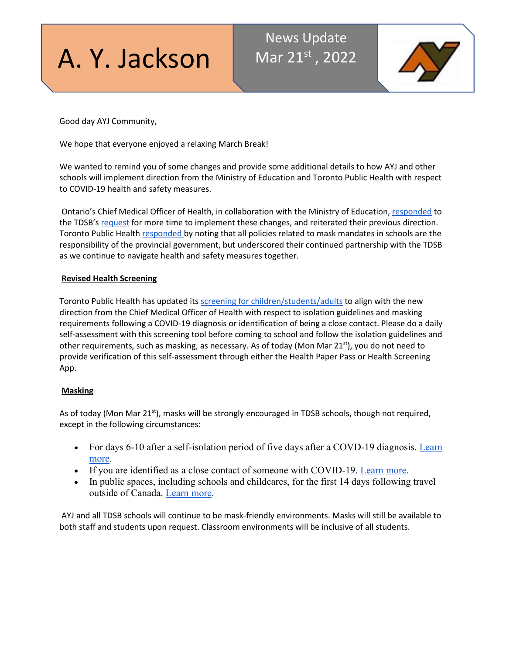

# News Update Mar 21st, 2022



Good day AYJ Community,

We hope that everyone enjoyed a relaxing March Break!

We wanted to remind you of some changes and provide some additional details to how AYJ and other schools will implement direction from the Ministry of Education and Toronto Public Health with respect to COVID-19 health and safety measures.

Ontario's Chief Medical Officer of Health, in collaboration with the Ministry of Education[, responded](http://track.spe.schoolmessenger.com/f/a/sbrrPGO9ARb8fFQme3p9tA%7E%7E/AAAAAQA%7E/RgRkGhwPP0RcaHR0cDovL3d3dy50ZHNiLm9uLmNhL1BvcnRhbHMvMC9kb2NzL0NNT0glMjBSZXNwb25zZSUyMHRvJTIwVERTQiUyMC0lMjBNYXJjaCUyMDE3JTIwMjAyMi5wZGZXB3NjaG9vbG1CCmIqj-g4YiTzqYRSFmthcmltLnN1a2h1QHRkc2Iub24uY2FYBAAAAAI%7E) to the TDSB's [request](http://track.spe.schoolmessenger.com/f/a/A7zTqX3enSzalofZXOYqRQ%7E%7E/AAAAAQA%7E/RgRkGhwPP0RmaHR0cHM6Ly93d3cudGRzYi5vbi5jYS9OZXdzL0FydGljbGUtRGV0YWlscy9BcnRNSUQvNDc0L0FydGljbGVJRC8xNzgyL0xldHRlci1VcGRhdGUtb24tQ09WSUQtUHJvdG9jb2xzVwdzY2hvb2xtQgpiKo_oOGIk86mEUhZrYXJpbS5zdWtodUB0ZHNiLm9uLmNhWAQAAAAC) for more time to implement these changes, and reiterated their previous direction. Toronto Public Health [responded b](http://track.spe.schoolmessenger.com/f/a/SU-YGCyDIOx4VCP8mmbqWw%7E%7E/AAAAAQA%7E/RgRkGhwPP0RlaHR0cDovL3d3dy50ZHNiLm9uLmNhL1BvcnRhbHMvMC9kb2NzLyhyZXNwb25zZSUyMGZyb20lMjBUUEgpJTIwVXBkYXRlJTIwb24lMjBDT1ZJRC0xOSUyMFByb3RvY29scy5wZGZXB3NjaG9vbG1CCmIqj-g4YiTzqYRSFmthcmltLnN1a2h1QHRkc2Iub24uY2FYBAAAAAI%7E)y noting that all policies related to mask mandates in schools are the responsibility of the provincial government, but underscored their continued partnership with the TDSB as we continue to navigate health and safety measures together.

## **Revised Health Screening**

Toronto Public Health has updated its [screening for children/students/adults](http://track.spe.schoolmessenger.com/f/a/4Syv43_Sr_GRfy4JyNBWag%7E%7E/AAAAAQA%7E/RgRkGhwPP0RtaHR0cHM6Ly93d3cudG9yb250by5jYS93cC1jb250ZW50L3VwbG9hZHMvMjAyMS8wNi85OTRjLVNjcmVlbmluZy1RdWVzdGlvbm5haXJlLUNoaWxkLUNhcmUtRGF5LUNhbXAtU2Nob29sLnBkZlcHc2Nob29sbUIKYiqP6DhiJPOphFIWa2FyaW0uc3VraHVAdGRzYi5vbi5jYVgEAAAAAg%7E%7E) to align with the new direction from the Chief Medical Officer of Health with respect to isolation guidelines and masking requirements following a COVID-19 diagnosis or identification of being a close contact. Please do a daily self-assessment with this screening tool before coming to school and follow the isolation guidelines and other requirements, such as masking, as necessary. As of today (Mon Mar 21<sup>st</sup>), you do not need to provide verification of this self-assessment through either the Health Paper Pass or Health Screening App.

## **Masking**

As of today (Mon Mar 21<sup>st</sup>), masks will be strongly encouraged in TDSB schools, though not required, except in the following circumstances:

- For days 6-10 after a self-isolation period of five days after a COVD-19 diagnosis. Learn [more.](http://track.spe.schoolmessenger.com/f/a/4Syv43_Sr_GRfy4JyNBWag%7E%7E/AAAAAQA%7E/RgRkGhwPP0RtaHR0cHM6Ly93d3cudG9yb250by5jYS93cC1jb250ZW50L3VwbG9hZHMvMjAyMS8wNi85OTRjLVNjcmVlbmluZy1RdWVzdGlvbm5haXJlLUNoaWxkLUNhcmUtRGF5LUNhbXAtU2Nob29sLnBkZlcHc2Nob29sbUIKYiqP6DhiJPOphFIWa2FyaW0uc3VraHVAdGRzYi5vbi5jYVgEAAAAAg%7E%7E)
- If you are identified as a close contact of someone with COVID-19. [Learn more.](http://track.spe.schoolmessenger.com/f/a/4Syv43_Sr_GRfy4JyNBWag%7E%7E/AAAAAQA%7E/RgRkGhwPP0RtaHR0cHM6Ly93d3cudG9yb250by5jYS93cC1jb250ZW50L3VwbG9hZHMvMjAyMS8wNi85OTRjLVNjcmVlbmluZy1RdWVzdGlvbm5haXJlLUNoaWxkLUNhcmUtRGF5LUNhbXAtU2Nob29sLnBkZlcHc2Nob29sbUIKYiqP6DhiJPOphFIWa2FyaW0uc3VraHVAdGRzYi5vbi5jYVgEAAAAAg%7E%7E)
- In public spaces, including schools and childcares, for the first 14 days following travel outside of Canada. [Learn more.](http://track.spe.schoolmessenger.com/f/a/4Inh4v-g-MBqmDFaJcJ_Uw%7E%7E/AAAAAQA%7E/RgRkGhwPP0RAaHR0cHM6Ly90cmF2ZWwuZ2MuY2EvdHJhdmVsLWNvdmlkL3RyYXZlbC1yZXN0cmljdGlvbnMvZXhlbXB0aW9uc1cHc2Nob29sbUIKYiqP6DhiJPOphFIWa2FyaW0uc3VraHVAdGRzYi5vbi5jYVgEAAAAAg%7E%7E)

AYJ and all TDSB schools will continue to be mask-friendly environments. Masks will still be available to both staff and students upon request. Classroom environments will be inclusive of all students.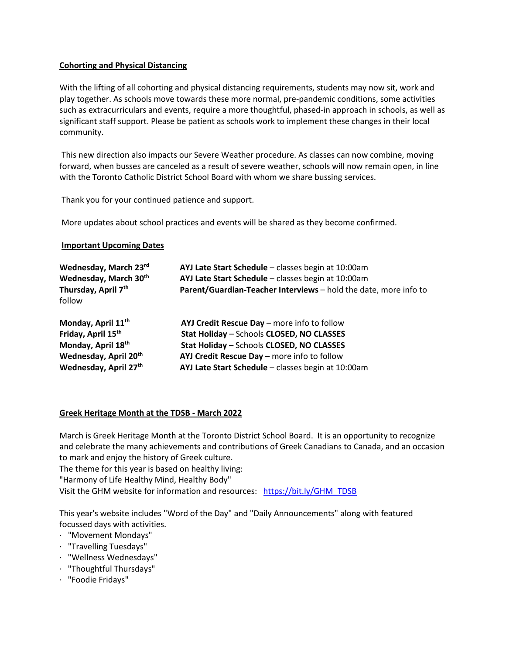## **Cohorting and Physical Distancing**

With the lifting of all cohorting and physical distancing requirements, students may now sit, work and play together. As schools move towards these more normal, pre-pandemic conditions, some activities such as extracurriculars and events, require a more thoughtful, phased-in approach in schools, as well as significant staff support. Please be patient as schools work to implement these changes in their local community.

This new direction also impacts our Severe Weather procedure. As classes can now combine, moving forward, when busses are canceled as a result of severe weather, schools will now remain open, in line with the Toronto Catholic District School Board with whom we share bussing services.

Thank you for your continued patience and support.

More updates about school practices and events will be shared as they become confirmed.

## **Important Upcoming Dates**

| AYJ Late Start Schedule - classes begin at 10:00am<br>AYJ Late Start Schedule - classes begin at 10:00am<br>Parent/Guardian-Teacher Interviews - hold the date, more info to |
|------------------------------------------------------------------------------------------------------------------------------------------------------------------------------|
|                                                                                                                                                                              |
| AYJ Credit Rescue Day - more info to follow                                                                                                                                  |
| Stat Holiday - Schools CLOSED, NO CLASSES                                                                                                                                    |
| Stat Holiday - Schools CLOSED, NO CLASSES                                                                                                                                    |
| AYJ Credit Rescue Day - more info to follow                                                                                                                                  |
| AYJ Late Start Schedule - classes begin at 10:00am                                                                                                                           |
|                                                                                                                                                                              |

## **Greek Heritage Month at the TDSB - March 2022**

March is Greek Heritage Month at the Toronto District School Board. It is an opportunity to recognize and celebrate the many achievements and contributions of Greek Canadians to Canada, and an occasion to mark and enjoy the history of Greek culture.

The theme for this year is based on healthy living:

"Harmony of Life Healthy Mind, Healthy Body"

Visit the GHM website for information and resources: [https://bit.ly/GHM\\_TDSB](http://track.spe.schoolmessenger.com/f/a/QHP8ZDdOptnq9XeTphfuyQ%7E%7E/AAAAAQA%7E/RgRkGhwPP0QXaHR0cHM6Ly9iaXQubHkvR0hNX1REU0JXB3NjaG9vbG1CCmIqj-g4YiTzqYRSFmthcmltLnN1a2h1QHRkc2Iub24uY2FYBAAAAAI%7E)

This year's website includes "Word of the Day" and "Daily Announcements" along with featured focussed days with activities.

- · "Movement Mondays"
- · "Travelling Tuesdays"
- · "Wellness Wednesdays"
- · "Thoughtful Thursdays"
- · "Foodie Fridays"